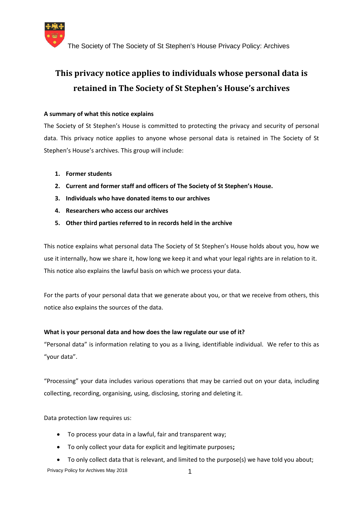

# **This privacy notice applies to individuals whose personal data is retained in The Society of St Stephen's House's archives**

# **A summary of what this notice explains**

The Society of St Stephen's House is committed to protecting the privacy and security of personal data. This privacy notice applies to anyone whose personal data is retained in The Society of St Stephen's House's archives. This group will include:

- **1. Former students**
- **2. Current and former staff and officers of The Society of St Stephen's House.**
- **3. Individuals who have donated items to our archives**
- **4. Researchers who access our archives**
- **5. Other third parties referred to in records held in the archive**

This notice explains what personal data The Society of St Stephen's House holds about you, how we use it internally, how we share it, how long we keep it and what your legal rights are in relation to it. This notice also explains the lawful basis on which we process your data.

For the parts of your personal data that we generate about you, or that we receive from others, this notice also explains the sources of the data.

# **What is your personal data and how does the law regulate our use of it?**

"Personal data" is information relating to you as a living, identifiable individual. We refer to this as "your data".

"Processing" your data includes various operations that may be carried out on your data, including collecting, recording, organising, using, disclosing, storing and deleting it.

Data protection law requires us:

- To process your data in a lawful, fair and transparent way;
- To only collect your data for explicit and legitimate purposes**;**
- Privacy Policy for Archives May 2018 1997 1997 To only collect data that is relevant, and limited to the purpose(s) we have told you about;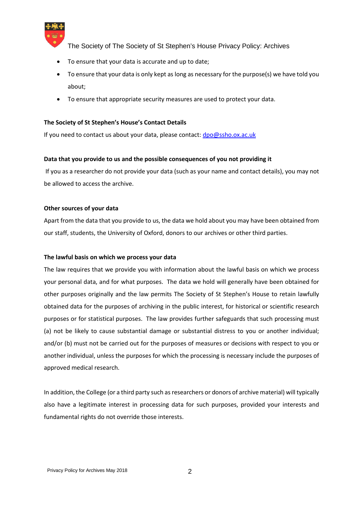

- To ensure that your data is accurate and up to date;
- To ensure that your data is only kept as long as necessary for the purpose(s) we have told you about;
- To ensure that appropriate security measures are used to protect your data.

# **The Society of St Stephen's House's Contact Details**

If you need to contact us about your data, please contact: dpo@ssho.ox.ac.uk

# **Data that you provide to us and the possible consequences of you not providing it**

If you as a researcher do not provide your data (such as your name and contact details), you may not be allowed to access the archive.

# **Other sources of your data**

Apart from the data that you provide to us, the data we hold about you may have been obtained from our staff, students, the University of Oxford, donors to our archives or other third parties.

#### **The lawful basis on which we process your data**

The law requires that we provide you with information about the lawful basis on which we process your personal data, and for what purposes. The data we hold will generally have been obtained for other purposes originally and the law permits The Society of St Stephen's House to retain lawfully obtained data for the purposes of archiving in the public interest, for historical or scientific research purposes or for statistical purposes. The law provides further safeguards that such processing must (a) not be likely to cause substantial damage or substantial distress to you or another individual; and/or (b) must not be carried out for the purposes of measures or decisions with respect to you or another individual, unless the purposes for which the processing is necessary include the purposes of approved medical research.

In addition, the College (or a third party such as researchers or donors of archive material) will typically also have a legitimate interest in processing data for such purposes, provided your interests and fundamental rights do not override those interests.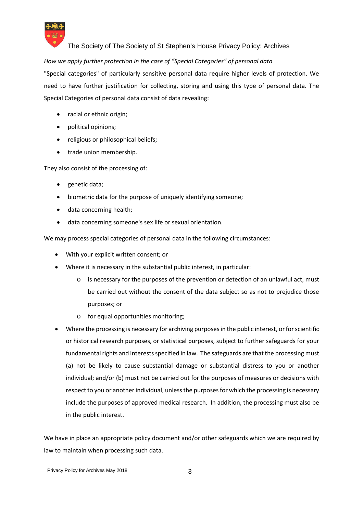

*How we apply further protection in the case of "Special Categories" of personal data*

"Special categories" of particularly sensitive personal data require higher levels of protection. We need to have further justification for collecting, storing and using this type of personal data. The Special Categories of personal data consist of data revealing:

- racial or ethnic origin;
- political opinions;
- religious or philosophical beliefs;
- trade union membership.

They also consist of the processing of:

- genetic data;
- biometric data for the purpose of uniquely identifying someone;
- data concerning health;
- data concerning someone's sex life or sexual orientation.

We may process special categories of personal data in the following circumstances:

- With your explicit written consent; or
- Where it is necessary in the substantial public interest, in particular:
	- o is necessary for the purposes of the prevention or detection of an unlawful act, must be carried out without the consent of the data subject so as not to prejudice those purposes; or
	- o for equal opportunities monitoring;
- Where the processing is necessary for archiving purposes in the public interest, or for scientific or historical research purposes, or statistical purposes, subject to further safeguards for your fundamental rights and interests specified in law. The safeguards are that the processing must (a) not be likely to cause substantial damage or substantial distress to you or another individual; and/or (b) must not be carried out for the purposes of measures or decisions with respect to you or another individual, unless the purposes for which the processing is necessary include the purposes of approved medical research. In addition, the processing must also be in the public interest.

We have in place an appropriate policy document and/or other safeguards which we are required by law to maintain when processing such data.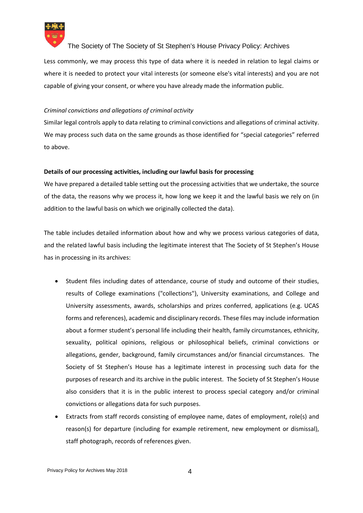

Less commonly, we may process this type of data where it is needed in relation to legal claims or where it is needed to protect your vital interests (or someone else's vital interests) and you are not capable of giving your consent, or where you have already made the information public.

# *Criminal convictions and allegations of criminal activity*

Similar legal controls apply to data relating to criminal convictions and allegations of criminal activity. We may process such data on the same grounds as those identified for "special categories" referred to above.

# **Details of our processing activities, including our lawful basis for processing**

We have prepared a detailed table setting out the processing activities that we undertake, the source of the data, the reasons why we process it, how long we keep it and the lawful basis we rely on (in addition to the lawful basis on which we originally collected the data).

The table includes detailed information about how and why we process various categories of data, and the related lawful basis including the legitimate interest that The Society of St Stephen's House has in processing in its archives:

- Student files including dates of attendance, course of study and outcome of their studies, results of College examinations ("collections"), University examinations, and College and University assessments, awards, scholarships and prizes conferred, applications (e.g. UCAS forms and references), academic and disciplinary records. These files may include information about a former student's personal life including their health, family circumstances, ethnicity, sexuality, political opinions, religious or philosophical beliefs, criminal convictions or allegations, gender, background, family circumstances and/or financial circumstances. The Society of St Stephen's House has a legitimate interest in processing such data for the purposes of research and its archive in the public interest. The Society of St Stephen's House also considers that it is in the public interest to process special category and/or criminal convictions or allegations data for such purposes.
- Extracts from staff records consisting of employee name, dates of employment, role(s) and reason(s) for departure (including for example retirement, new employment or dismissal), staff photograph, records of references given.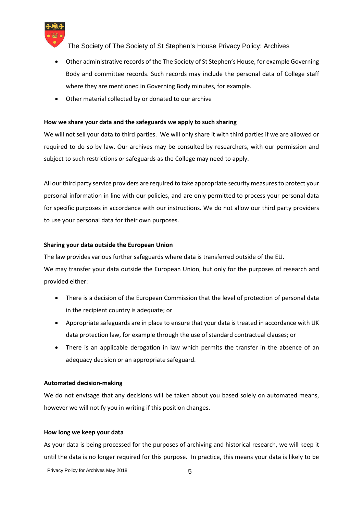

- Other administrative records of the The Society of St Stephen's House, for example Governing Body and committee records. Such records may include the personal data of College staff where they are mentioned in Governing Body minutes, for example.
- Other material collected by or donated to our archive

#### **How we share your data and the safeguards we apply to such sharing**

We will not sell your data to third parties. We will only share it with third parties if we are allowed or required to do so by law. Our archives may be consulted by researchers, with our permission and subject to such restrictions or safeguards as the College may need to apply.

All our third party service providers are required to take appropriate security measures to protect your personal information in line with our policies, and are only permitted to process your personal data for specific purposes in accordance with our instructions. We do not allow our third party providers to use your personal data for their own purposes.

#### **Sharing your data outside the European Union**

The law provides various further safeguards where data is transferred outside of the EU. We may transfer your data outside the European Union, but only for the purposes of research and provided either:

- There is a decision of the European Commission that the level of protection of personal data in the recipient country is adequate; or
- Appropriate safeguards are in place to ensure that your data is treated in accordance with UK data protection law, for example through the use of standard contractual clauses; or
- There is an applicable derogation in law which permits the transfer in the absence of an adequacy decision or an appropriate safeguard.

#### **Automated decision-making**

We do not envisage that any decisions will be taken about you based solely on automated means, however we will notify you in writing if this position changes.

#### **How long we keep your data**

Privacy Policy for Archives May 2018 As your data is being processed for the purposes of archiving and historical research, we will keep it until the data is no longer required for this purpose. In practice, this means your data is likely to be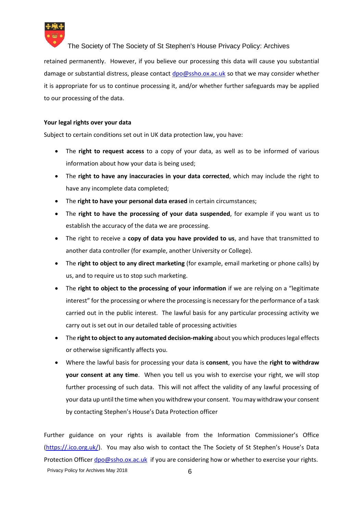

retained permanently. However, if you believe our processing this data will cause you substantial damage or substantial distress, please contact dpo@ssho.ox.ac.uk so that we may consider whether it is appropriate for us to continue processing it, and/or whether further safeguards may be applied to our processing of the data.

#### **Your legal rights over your data**

Subject to certain conditions set out in UK data protection law, you have:

- The **right to request access** to a copy of your data, as well as to be informed of various information about how your data is being used;
- The **right to have any inaccuracies in your data corrected**, which may include the right to have any incomplete data completed;
- The **right to have your personal data erased** in certain circumstances;
- The **right to have the processing of your data suspended**, for example if you want us to establish the accuracy of the data we are processing.
- The right to receive a **copy of data you have provided to us**, and have that transmitted to another data controller (for example, another University or College).
- The **right to object to any direct marketing** (for example, email marketing or phone calls) by us, and to require us to stop such marketing.
- The **right to object to the processing of your information** if we are relying on a "legitimate interest" for the processing or where the processing is necessary for the performance of a task carried out in the public interest. The lawful basis for any particular processing activity we carry out is set out in our detailed table of processing activities
- The **right to object to any automated decision-making** about you which produces legal effects or otherwise significantly affects you.
- Where the lawful basis for processing your data is **consent**, you have the **right to withdraw your consent at any time**. When you tell us you wish to exercise your right, we will stop further processing of such data. This will not affect the validity of any lawful processing of your data up until the time when you withdrew your consent. You may withdraw your consent by contacting Stephen's House's Data Protection officer

Privacy Policy for Archives May 2018 6 Further guidance on your rights is available from the Information Commissioner's Office (https://.ico.org.uk/). You may also wish to contact the The Society of St Stephen's House's Data Protection Officer dpo@ssho.ox.ac.uk if you are considering how or whether to exercise your rights.